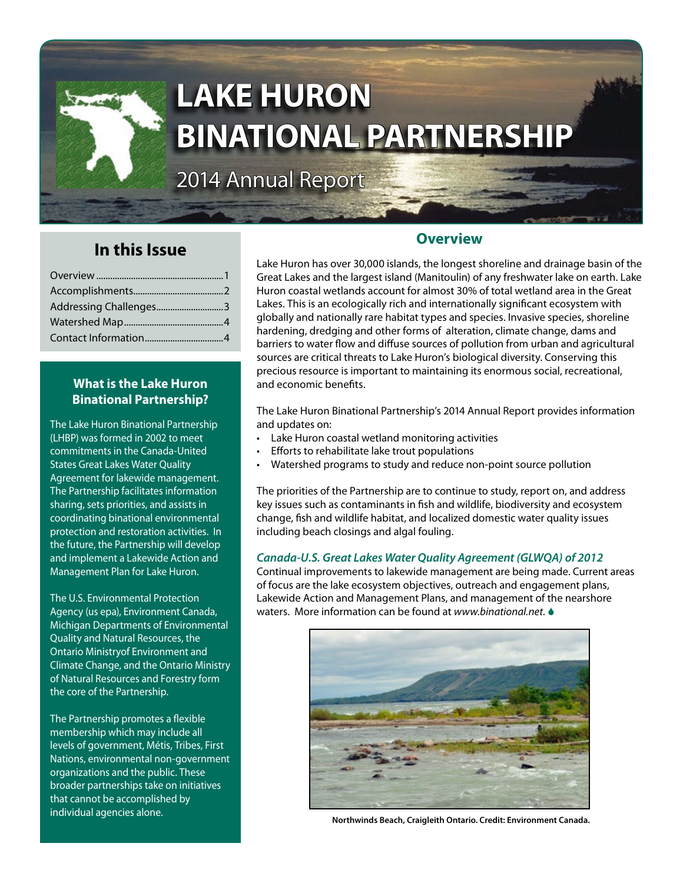

# **LAKE HURON BINATIONAL PARTNERSHIP**

2014 Annual Report

# **In this Issue**

| Addressing Challenges3 |  |
|------------------------|--|
|                        |  |
|                        |  |

## **What is the Lake Huron Binational Partnership?**

The Lake Huron Binational Partnership (LHBP) was formed in 2002 to meet commitments in the Canada-United States Great Lakes Water Quality Agreement for lakewide management. The Partnership facilitates information sharing, sets priorities, and assists in coordinating binational environmental protection and restoration activities. In the future, the Partnership will develop and implement a Lakewide Action and Management Plan for Lake Huron.

The U.S. Environmental Protection Agency (us epa), Environment Canada, Michigan Departments of Environmental Quality and Natural Resources, the Ontario Ministryof Environment and Climate Change, and the Ontario Ministry of Natural Resources and Forestry form the core of the Partnership.

The Partnership promotes a flexible membership which may include all levels of government, Métis, Tribes, First Nations, environmental non-government organizations and the public. These broader partnerships take on initiatives that cannot be accomplished by individual agencies alone.

## **Overview**

Lake Huron has over 30,000 islands, the longest shoreline and drainage basin of the Great Lakes and the largest island (Manitoulin) of any freshwater lake on earth. Lake Huron coastal wetlands account for almost 30% of total wetland area in the Great Lakes. This is an ecologically rich and internationally significant ecosystem with globally and nationally rare habitat types and species. Invasive species, shoreline hardening, dredging and other forms of alteration, climate change, dams and barriers to water flow and diffuse sources of pollution from urban and agricultural sources are critical threats to Lake Huron's biological diversity. Conserving this precious resource is important to maintaining its enormous social, recreational, and economic benefits.

The Lake Huron Binational Partnership's 2014 Annual Report provides information and updates on:

- • Lake Huron coastal wetland monitoring activities
- Efforts to rehabilitate lake trout populations
- Watershed programs to study and reduce non-point source pollution

The priorities of the Partnership are to continue to study, report on, and address key issues such as contaminants in fish and wildlife, biodiversity and ecosystem change, fish and wildlife habitat, and localized domestic water quality issues including beach closings and algal fouling.

## *Canada-U.S. Great Lakes Water Quality Agreement (GLWQA) of 2012*

Continual improvements to lakewide management are being made. Current areas of focus are the lake ecosystem objectives, outreach and engagement plans, Lakewide Action and Management Plans, and management of the nearshore waters. More information can be found at *[www.binational.net](http://www.binational.net)*.



**Northwinds Beach, Craigleith Ontario. Credit: Environment Canada.**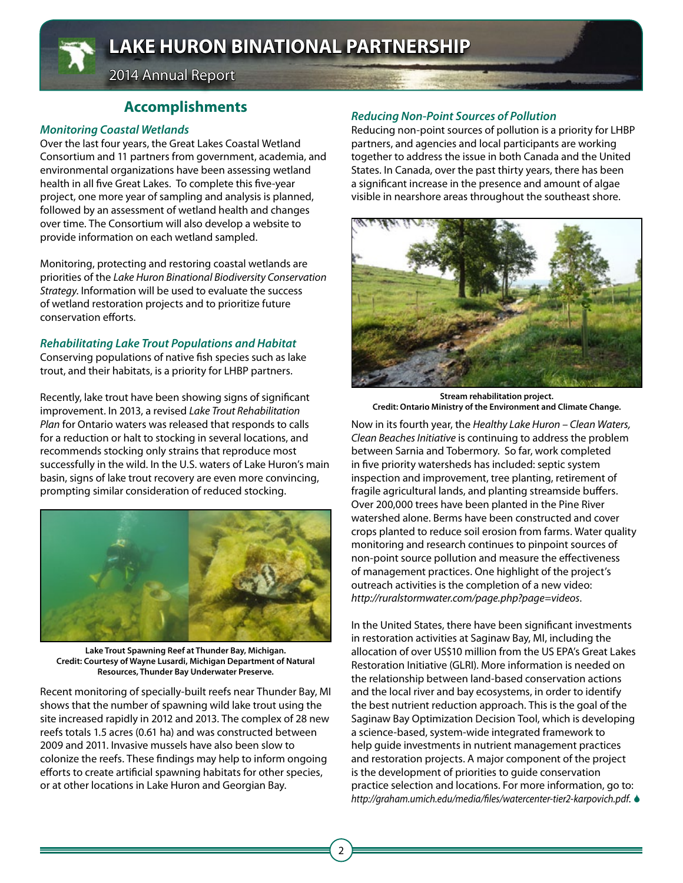

**LAKE HURON BINATIONAL PARTNERSHIP**

2014 Annual Report

## **Accomplishments**

## *Monitoring Coastal Wetlands*

Over the last four years, the Great Lakes Coastal Wetland Consortium and 11 partners from government, academia, and environmental organizations have been assessing wetland health in all five Great Lakes. To complete this five-year project, one more year of sampling and analysis is planned, followed by an assessment of wetland health and changes over time. The Consortium will also develop a website to provide information on each wetland sampled.

Monitoring, protecting and restoring coastal wetlands are priorities of the *Lake Huron Binational Biodiversity Conservation Strategy*. Information will be used to evaluate the success of wetland restoration projects and to prioritize future conservation efforts.

## *Rehabilitating Lake Trout Populations and Habitat*

Conserving populations of native fish species such as lake trout, and their habitats, is a priority for LHBP partners.

Recently, lake trout have been showing signs of significant improvement. In 2013, a revised *Lake Trout Rehabilitation Plan* for Ontario waters was released that responds to calls for a reduction or halt to stocking in several locations, and recommends stocking only strains that reproduce most successfully in the wild. In the U.S. waters of Lake Huron's main basin, signs of lake trout recovery are even more convincing, prompting similar consideration of reduced stocking.



**Lake Trout Spawning Reef at Thunder Bay, Michigan. Credit: Courtesy of Wayne Lusardi, Michigan Department of Natural Resources, Thunder Bay Underwater Preserve.**

Recent monitoring of specially-built reefs near Thunder Bay, MI shows that the number of spawning wild lake trout using the site increased rapidly in 2012 and 2013. The complex of 28 new reefs totals 1.5 acres (0.61 ha) and was constructed between 2009 and 2011. Invasive mussels have also been slow to colonize the reefs. These findings may help to inform ongoing efforts to create artificial spawning habitats for other species, or at other locations in Lake Huron and Georgian Bay.

## *Reducing Non-Point Sources of Pollution*

Reducing non-point sources of pollution is a priority for LHBP partners, and agencies and local participants are working together to address the issue in both Canada and the United States. In Canada, over the past thirty years, there has been a significant increase in the presence and amount of algae visible in nearshore areas throughout the southeast shore.



**Stream rehabilitation project. Credit: Ontario Ministry of the Environment and Climate Change.**

Now in its fourth year, the *Healthy Lake Huron – Clean Waters, Clean Beaches Initiative* is continuing to address the problem between Sarnia and Tobermory. So far, work completed in five priority watersheds has included: septic system inspection and improvement, tree planting, retirement of fragile agricultural lands, and planting streamside buffers. Over 200,000 trees have been planted in the Pine River watershed alone. Berms have been constructed and cover crops planted to reduce soil erosion from farms. Water quality monitoring and research continues to pinpoint sources of non-point source pollution and measure the effectiveness of management practices. One highlight of the project's outreach activities is the completion of a new video: *<http://ruralstormwater.com/page.php?page=videos>*.

In the United States, there have been significant investments in restoration activities at Saginaw Bay, MI, including the allocation of over US\$10 million from the US EPA's Great Lakes Restoration Initiative (GLRI). More information is needed on the relationship between land-based conservation actions and the local river and bay ecosystems, in order to identify the best nutrient reduction approach. This is the goal of the Saginaw Bay Optimization Decision Tool, which is developing a science-based, system-wide integrated framework to help guide investments in nutrient management practices and restoration projects. A major component of the project is the development of priorities to guide conservation practice selection and locations. For more information, go to: *<http://graham.umich.edu/media/files/watercenter-tier2-karpovich.pdf>*.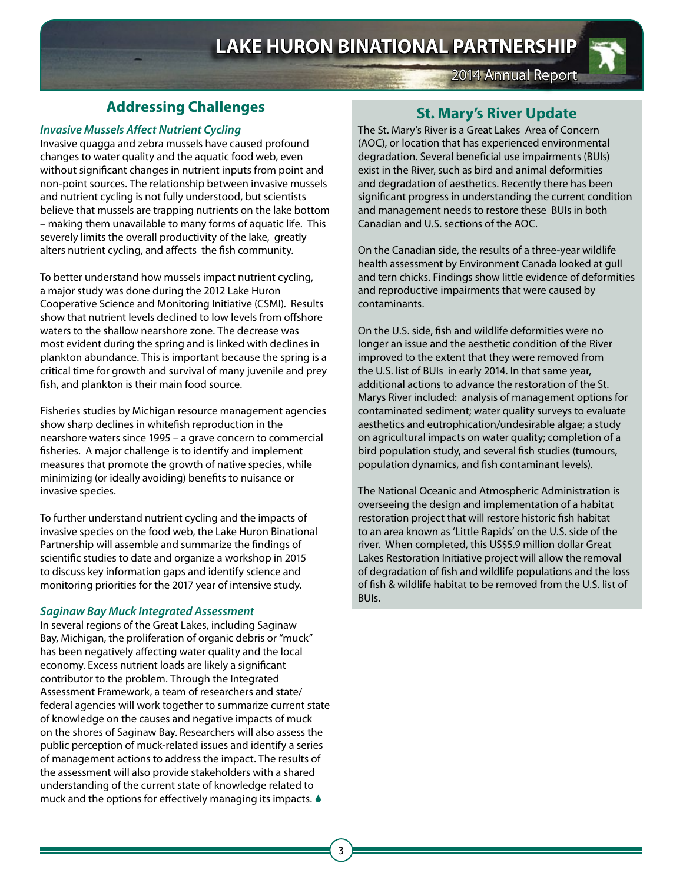

## **Addressing Challenges**

#### *Invasive Mussels Affect Nutrient Cycling*

Invasive quagga and zebra mussels have caused profound changes to water quality and the aquatic food web, even without significant changes in nutrient inputs from point and non-point sources. The relationship between invasive mussels and nutrient cycling is not fully understood, but scientists believe that mussels are trapping nutrients on the lake bottom – making them unavailable to many forms of aquatic life. This severely limits the overall productivity of the lake, greatly alters nutrient cycling, and affects the fish community.

To better understand how mussels impact nutrient cycling, a major study was done during the 2012 Lake Huron Cooperative Science and Monitoring Initiative (CSMI). Results show that nutrient levels declined to low levels from offshore waters to the shallow nearshore zone. The decrease was most evident during the spring and is linked with declines in plankton abundance. This is important because the spring is a critical time for growth and survival of many juvenile and prey fish, and plankton is their main food source.

Fisheries studies by Michigan resource management agencies show sharp declines in whitefish reproduction in the nearshore waters since 1995 – a grave concern to commercial fisheries. A major challenge is to identify and implement measures that promote the growth of native species, while minimizing (or ideally avoiding) benefits to nuisance or invasive species.

To further understand nutrient cycling and the impacts of invasive species on the food web, the Lake Huron Binational Partnership will assemble and summarize the findings of scientific studies to date and organize a workshop in 2015 to discuss key information gaps and identify science and monitoring priorities for the 2017 year of intensive study.

#### *Saginaw Bay Muck Integrated Assessment*

In several regions of the Great Lakes, including Saginaw Bay, Michigan, the proliferation of organic debris or "muck" has been negatively affecting water quality and the local economy. Excess nutrient loads are likely a significant contributor to the problem. Through the Integrated Assessment Framework, a team of researchers and state/ federal agencies will work together to summarize current state of knowledge on the causes and negative impacts of muck on the shores of Saginaw Bay. Researchers will also assess the public perception of muck-related issues and identify a series of management actions to address the impact. The results of the assessment will also provide stakeholders with a shared understanding of the current state of knowledge related to muck and the options for effectively managing its impacts.

## **St. Mary's River Update**

2014 Annual Report

The St. Mary's River is a Great Lakes Area of Concern (AOC), or location that has experienced environmental degradation. Several beneficial use impairments (BUIs) exist in the River, such as bird and animal deformities and degradation of aesthetics. Recently there has been significant progress in understanding the current condition and management needs to restore these BUIs in both Canadian and U.S. sections of the AOC.

On the Canadian side, the results of a three-year wildlife health assessment by Environment Canada looked at gull and tern chicks. Findings show little evidence of deformities and reproductive impairments that were caused by contaminants.

On the U.S. side, fish and wildlife deformities were no longer an issue and the aesthetic condition of the River improved to the extent that they were removed from the U.S. list of BUIs in early 2014. In that same year, additional actions to advance the restoration of the St. Marys River included: analysis of management options for contaminated sediment; water quality surveys to evaluate aesthetics and eutrophication/undesirable algae; a study on agricultural impacts on water quality; completion of a bird population study, and several fish studies (tumours, population dynamics, and fish contaminant levels).

The National Oceanic and Atmospheric Administration is overseeing the design and implementation of a habitat restoration project that will restore historic fish habitat to an area known as 'Little Rapids' on the U.S. side of the river. When completed, this US\$5.9 million dollar Great Lakes Restoration Initiative project will allow the removal of degradation of fish and wildlife populations and the loss of fish & wildlife habitat to be removed from the U.S. list of BUIs.